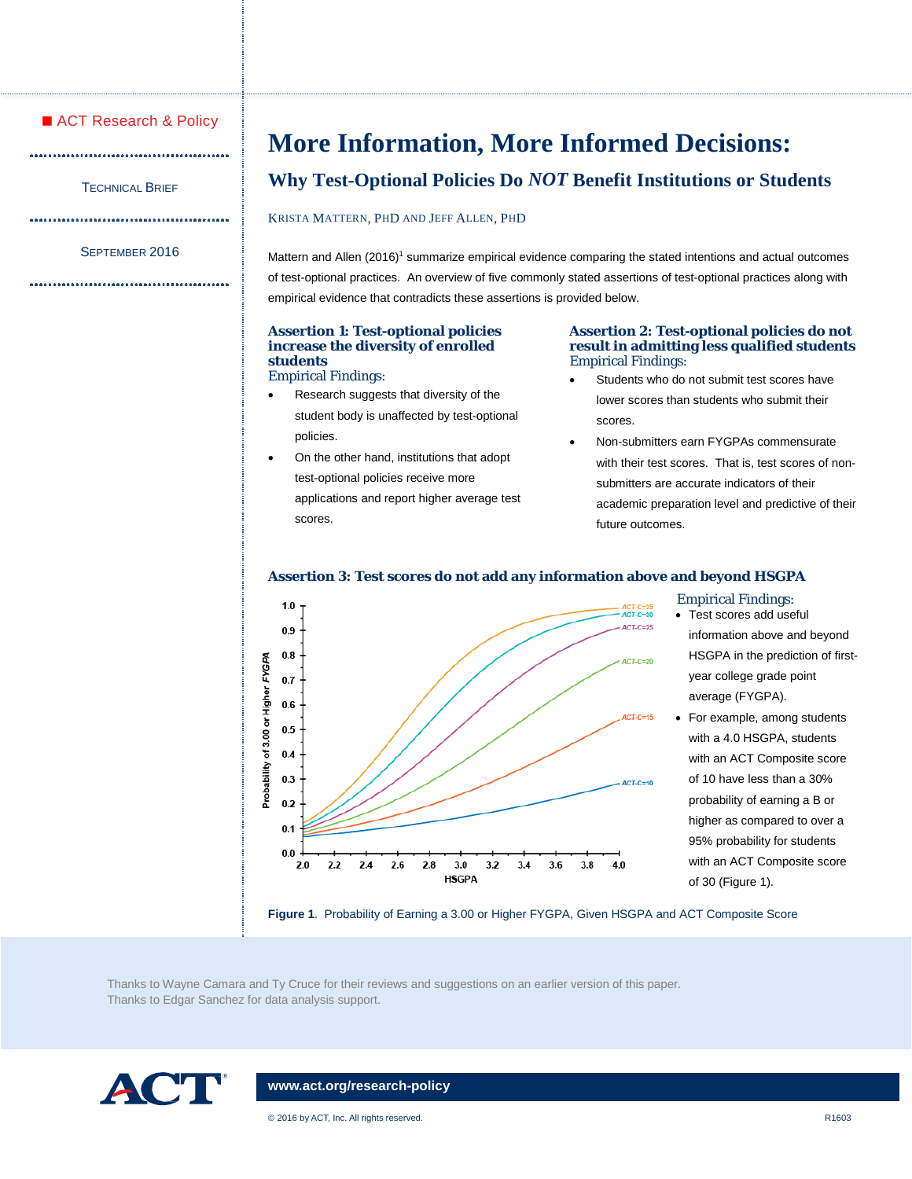# ■ ACT Research & Policy

.....

TECHNICAL BRIEF 

#### SEPTEMBER 2016

# **More Information, More Informed Decisions:**

# **Why Test-Optional Policies Do** *NOT* **Benefit Institutions or Students**

KRISTA MATTERN, PHD AND JEFF ALLEN, PHD

Mattern and Allen (2016)<sup>1</sup> summarize empirical evidence comparing the stated intentions and actual outcomes of test-optional practices. An overview of five commonly stated assertions of test-optional practices along with empirical evidence that contradicts these assertions is provided below.

#### **Assertion 1: Test-optional policies increase the diversity of enrolled students** Empirical Findings:

- Research suggests that diversity of the student body is unaffected by test-optional policies.
- On the other hand, institutions that adopt test-optional policies receive more applications and report higher average test scores.

#### **Assertion 2: Test-optional policies do not result in admitting less qualified students** Empirical Findings:

- Students who do not submit test scores have lower scores than students who submit their scores.
- Non-submitters earn FYGPAs commensurate with their test scores. That is, test scores of nonsubmitters are accurate indicators of their academic preparation level and predictive of their future outcomes.

# **Assertion 3: Test scores do not add any information above and beyond HSGPA**



# Empirical Findings:

- Test scores add useful information above and beyond HSGPA in the prediction of firstyear college grade point average (FYGPA).
- For example, among students with a 4.0 HSGPA, students with an ACT Composite score of 10 have less than a 30% probability of earning a B or higher as compared to over a 95% probability for students with an ACT Composite score of 30 (Figure 1).

Thanks to Wayne Camara and Ty Cruce for their reviews and suggestions on an earlier version of this paper. Thanks to Edgar Sanchez for data analysis support.



# **[www.act.org/research-policy](http://www.act.org/research-policy)**

© 2016 by ACT, Inc. All rights reserved. R1603